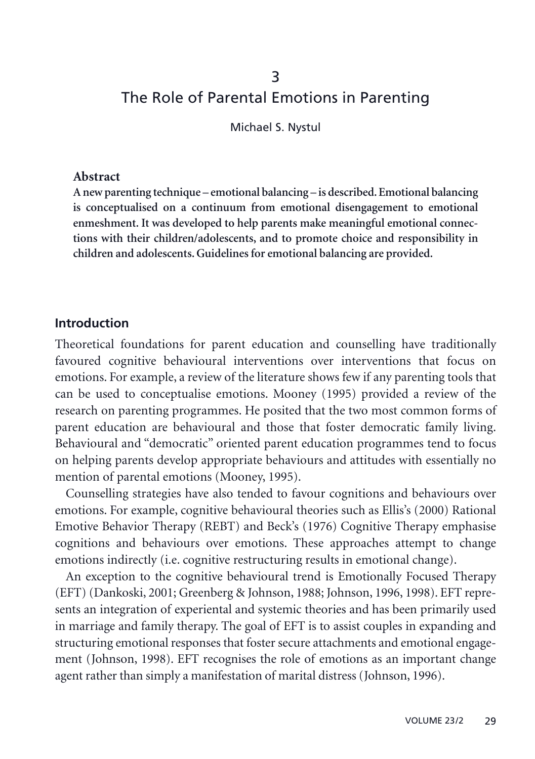# 3 The Role of Parental Emotions in Parenting

Michael S. Nystul

#### **Abstract**

**A new parenting technique – emotional balancing – is described. Emotional balancing is conceptualised on a continuum from emotional disengagement to emotional enmeshment. It was developed to help parents make meaningful emotional connections with their children/adolescents, and to promote choice and responsibility in children and adolescents. Guidelines for emotional balancing are provided.**

#### **Introduction**

Theoretical foundations for parent education and counselling have traditionally favoured cognitive behavioural interventions over interventions that focus on emotions. For example, a review of the literature shows few if any parenting tools that can be used to conceptualise emotions. Mooney (1995) provided a review of the research on parenting programmes. He posited that the two most common forms of parent education are behavioural and those that foster democratic family living. Behavioural and "democratic" oriented parent education programmes tend to focus on helping parents develop appropriate behaviours and attitudes with essentially no mention of parental emotions (Mooney, 1995).

Counselling strategies have also tended to favour cognitions and behaviours over emotions. For example, cognitive behavioural theories such as Ellis's (2000) Rational Emotive Behavior Therapy (REBT) and Beck's (1976) Cognitive Therapy emphasise cognitions and behaviours over emotions. These approaches attempt to change emotions indirectly (i.e. cognitive restructuring results in emotional change).

An exception to the cognitive behavioural trend is Emotionally Focused Therapy (EFT) (Dankoski, 2001; Greenberg & Johnson, 1988; Johnson, 1996, 1998). EFT represents an integration of experiental and systemic theories and has been primarily used in marriage and family therapy. The goal of EFT is to assist couples in expanding and structuring emotional responses that foster secure attachments and emotional engagement (Johnson, 1998). EFT recognises the role of emotions as an important change agent rather than simply a manifestation of marital distress (Johnson, 1996).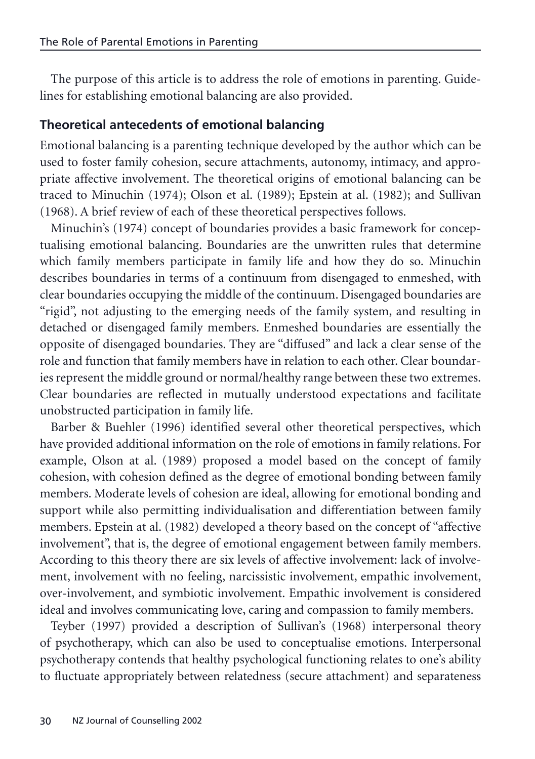The purpose of this article is to address the role of emotions in parenting. Guidelines for establishing emotional balancing are also provided.

## **Theoretical antecedents of emotional balancing**

Emotional balancing is a parenting technique developed by the author which can be used to foster family cohesion, secure attachments, autonomy, intimacy, and appropriate affective involvement. The theoretical origins of emotional balancing can be traced to Minuchin (1974); Olson et al. (1989); Epstein at al. (1982); and Sullivan (1968). A brief review of each of these theoretical perspectives follows.

Minuchin's (1974) concept of boundaries provides a basic framework for conceptualising emotional balancing. Boundaries are the unwritten rules that determine which family members participate in family life and how they do so. Minuchin describes boundaries in terms of a continuum from disengaged to enmeshed, with clear boundaries occupying the middle of the continuum. Disengaged boundaries are "rigid", not adjusting to the emerging needs of the family system, and resulting in detached or disengaged family members. Enmeshed boundaries are essentially the opposite of disengaged boundaries. They are "diffused" and lack a clear sense of the role and function that family members have in relation to each other. Clear boundaries represent the middle ground or normal/healthy range between these two extremes. Clear boundaries are reflected in mutually understood expectations and facilitate unobstructed participation in family life.

Barber & Buehler (1996) identified several other theoretical perspectives, which have provided additional information on the role of emotions in family relations. For example, Olson at al. (1989) proposed a model based on the concept of family cohesion, with cohesion defined as the degree of emotional bonding between family members. Moderate levels of cohesion are ideal, allowing for emotional bonding and support while also permitting individualisation and differentiation between family members. Epstein at al. (1982) developed a theory based on the concept of "affective involvement", that is, the degree of emotional engagement between family members. According to this theory there are six levels of affective involvement: lack of involvement, involvement with no feeling, narcissistic involvement, empathic involvement, over-involvement, and symbiotic involvement. Empathic involvement is considered ideal and involves communicating love, caring and compassion to family members.

Teyber (1997) provided a description of Sullivan's (1968) interpersonal theory of psychotherapy, which can also be used to conceptualise emotions. Interpersonal psychotherapy contends that healthy psychological functioning relates to one's ability to fluctuate appropriately between relatedness (secure attachment) and separateness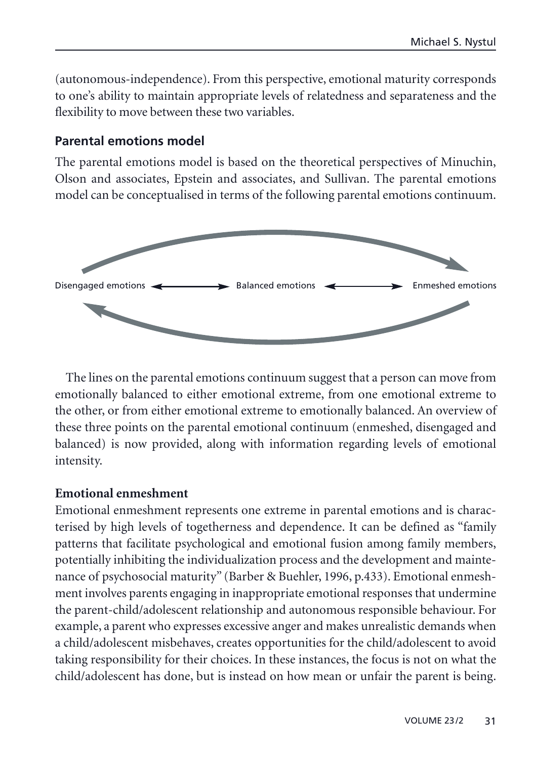<span id="page-2-0"></span>(autonomous-independence). From this perspective, emotional maturity corresponds to one's ability to maintain appropriate levels of relatedness and separateness and the flexibility to move between these two variables.

## **Parental emotions model**

The parental emotions model is based on the theoretical perspectives of Minuchin, Olson and associates, Epstein and associates, and Sullivan. The parental emotions model can be conceptualised in terms of the following parental emotions continuum.



The lines on the parental emotions continuum suggest that a person can move from emotionally balanced to either emotional extreme, from one emotional extreme to the other, or from either emotional extreme to emotionally balanced. An overview of these three points on the parental emotional continuum (enmeshed, disengaged and balanced) is now provided, along with information regarding levels of emotional intensity.

#### **Emotional enmeshment**

Emotional enmeshment represents one extreme in parental emotions and is characterised by high levels of togetherness and dependence. It can be defined as "family patterns that facilitate psychological and emotional fusion among family members, potentially inhibiting the individualization process and the development and maintenance of psychosocial maturity" (Barber & Buehler, 1996, p.433). Emotional enmeshment involves parents engaging in inappropriate emotional responses that undermine the parent-child/adolescent relationship and autonomous responsible behaviour. For example, a parent who expresses excessive anger and makes unrealistic demands when a child/adolescent misbehaves, creates opportunities for the child/adolescent to avoid taking responsibility for their choices. In these instances, the focus is not on what the child/adolescent has done, but is instead on how mean or unfair the parent is being.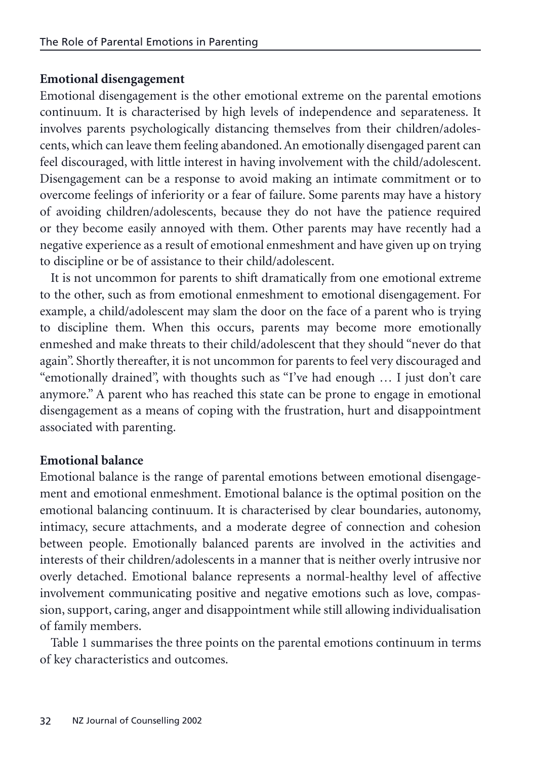#### **Emotional disengagement**

Emotional disengagement is the other emotional extreme on the parental emotions continuum. It is characterised by high levels of independence and separateness. It involves parents psychologically distancing themselves from their children/adolescents, which can leave them feeling abandoned. An emotionally disengaged parent can feel discouraged, with little interest in having involvement with the child/adolescent. Disengagement can be a response to avoid making an intimate commitment or to overcome feelings of inferiority or a fear of failure. Some parents may have a history of avoiding children/adolescents, because they do not have the patience required or they become easily annoyed with them. Other parents may have recently had a negative experience as a result of emotional enmeshment and have given up on trying to discipline or be of assistance to their child/adolescent.

It is not uncommon for parents to shift dramatically from one emotional extreme to the other, such as from emotional enmeshment to emotional disengagement. For example, a child/adolescent may slam the door on the face of a parent who is trying to discipline them. When this occurs, parents may become more emotionally enmeshed and make threats to their child/adolescent that they should "never do that again". Shortly thereafter, it is not uncommon for parents to feel very discouraged and "emotionally drained", with thoughts such as "I've had enough … I just don't care anymore." A parent who has reached this state can be prone to engage in emotional disengagement as a means of coping with the frustration, hurt and disappointment associated with parenting.

#### **Emotional balance**

Emotional balance is the range of parental emotions between emotional disengagement and emotional enmeshment. Emotional balance is the optimal position on the emotional balancing continuum. It is characterised by clear boundaries, autonomy, intimacy, secure attachments, and a moderate degree of connection and cohesion between people. Emotionally balanced parents are involved in the activities and interests of their children/adolescents in a manner that is neither overly intrusive nor overly detached. Emotional balance represents a normal-healthy level of affective involvement communicating positive and negative emotions such as love, compassion, support, caring, anger and disappointment while still allowing individualisation of family members.

Table 1 summarises the three points on the parental emotions continuum in terms of key characteristics and outcomes.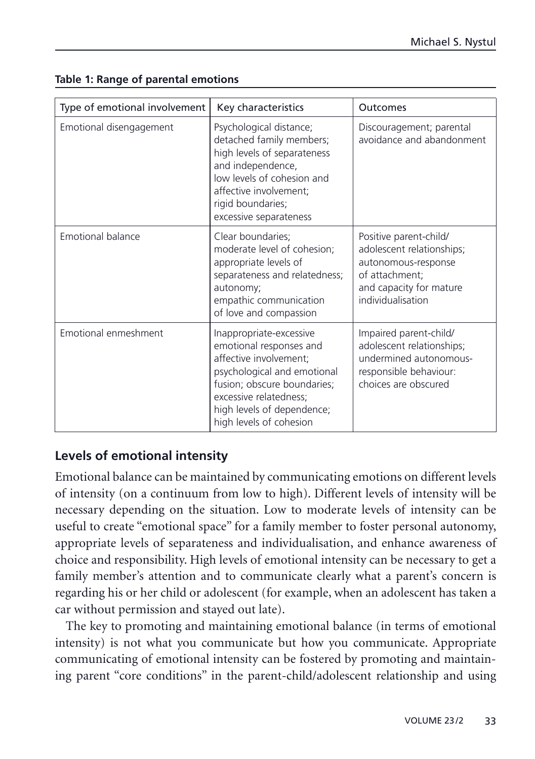| Type of emotional involvement | Key characteristics                                                                                                                                                                                                           | Outcomes                                                                                                                                     |
|-------------------------------|-------------------------------------------------------------------------------------------------------------------------------------------------------------------------------------------------------------------------------|----------------------------------------------------------------------------------------------------------------------------------------------|
| Emotional disengagement       | Psychological distance;<br>detached family members;<br>high levels of separateness<br>and independence,<br>low levels of cohesion and<br>affective involvement;<br>rigid boundaries;<br>excessive separateness                | Discouragement; parental<br>avoidance and abandonment                                                                                        |
| Emotional balance             | Clear boundaries;<br>moderate level of cohesion;<br>appropriate levels of<br>separateness and relatedness;<br>autonomy;<br>empathic communication<br>of love and compassion                                                   | Positive parent-child/<br>adolescent relationships;<br>autonomous-response<br>of attachment:<br>and capacity for mature<br>individualisation |
| Emotional enmeshment          | Inappropriate-excessive<br>emotional responses and<br>affective involvement;<br>psychological and emotional<br>fusion; obscure boundaries;<br>excessive relatedness;<br>high levels of dependence;<br>high levels of cohesion | Impaired parent-child/<br>adolescent relationships;<br>undermined autonomous-<br>responsible behaviour:<br>choices are obscured              |

#### **Table 1: Range of parental emotions**

### **Levels of emotional intensity**

Emotional balance can be maintained by communicating emotions on different levels of intensity (on a continuum from low to high). Different levels of intensity will be necessary depending on the situation. Low to moderate levels of intensity can be useful to create "emotional space" for a family member to foster personal autonomy, appropriate levels of separateness and individualisation, and enhance awareness of choice and responsibility. High levels of emotional intensity can be necessary to get a family member's attention and to communicate clearly what a parent's concern is regarding his or her child or adolescent (for example, when an adolescent has taken a car without permission and stayed out late).

The key to promoting and maintaining emotional balance (in terms of emotional intensity) is not what you communicate but how you communicate. Appropriate communicating of emotional intensity can be fostered by promoting and maintaining parent "core conditions" in the parent-child/adolescent relationship and using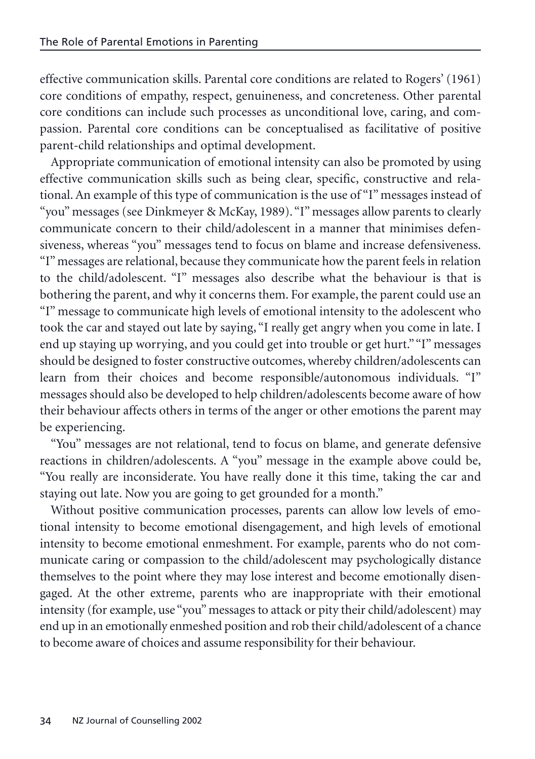effective communication skills. Parental core conditions are related to Rogers' (1961) core conditions of empathy, respect, genuineness, and concreteness. Other parental core conditions can include such processes as unconditional love, caring, and compassion. Parental core conditions can be conceptualised as facilitative of positive parent-child relationships and optimal development.

Appropriate communication of emotional intensity can also be promoted by using effective communication skills such as being clear, specific, constructive and relational. An example of this type of communication is the use of "I" messages instead of "you" messages (see Dinkmeyer & McKay, 1989). "I" messages allow parents to clearly communicate concern to their child/adolescent in a manner that minimises defensiveness, whereas "you" messages tend to focus on blame and increase defensiveness. "I" messages are relational, because they communicate how the parent feels in relation to the child/adolescent. "I" messages also describe what the behaviour is that is bothering the parent, and why it concerns them. For example, the parent could use an "I" message to communicate high levels of emotional intensity to the adolescent who took the car and stayed out late by saying, "I really get angry when you come in late. I end up staying up worrying, and you could get into trouble or get hurt.""I" messages should be designed to foster constructive outcomes, whereby children/adolescents can learn from their choices and become responsible/autonomous individuals. "I" messages should also be developed to help children/adolescents become aware of how their behaviour affects others in terms of the anger or other emotions the parent may be experiencing.

"You" messages are not relational, tend to focus on blame, and generate defensive reactions in children/adolescents. A "you" message in the example above could be, "You really are inconsiderate. You have really done it this time, taking the car and staying out late. Now you are going to get grounded for a month."

Without positive communication processes, parents can allow low levels of emotional intensity to become emotional disengagement, and high levels of emotional intensity to become emotional enmeshment. For example, parents who do not communicate caring or compassion to the child/adolescent may psychologically distance themselves to the point where they may lose interest and become emotionally disengaged. At the other extreme, parents who are inappropriate with their emotional intensity (for example, use "you" messages to attack or pity their child/adolescent) may end up in an emotionally enmeshed position and rob their child/adolescent of a chance to become aware of choices and assume responsibility for their behaviour.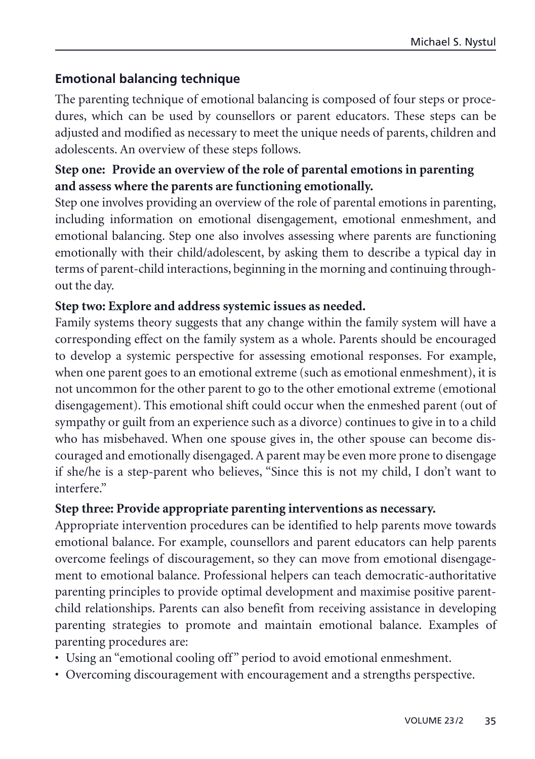## **Emotional balancing technique**

The parenting technique of emotional balancing is composed of four steps or procedures, which can be used by counsellors or parent educators. These steps can be adjusted and modified as necessary to meet the unique needs of parents, children and adolescents. An overview of these steps follows.

## **Step one: Provide an overview of the role of parental emotions in parenting and assess where the parents are functioning emotionally.**

Step one involves providing an overview of the role of parental emotions in parenting, including information on emotional disengagement, emotional enmeshment, and emotional balancing. Step one also involves assessing where parents are functioning emotionally with their child/adolescent, by asking them to describe a typical day in terms of parent-child interactions, beginning in the morning and continuing throughout the day.

### **Step two: Explore and address systemic issues as needed.**

Family systems theory suggests that any change within the family system will have a corresponding effect on the family system as a whole. Parents should be encouraged to develop a systemic perspective for assessing emotional responses. For example, when one parent goes to an emotional extreme (such as emotional enmeshment), it is not uncommon for the other parent to go to the other emotional extreme (emotional disengagement). This emotional shift could occur when the enmeshed parent (out of sympathy or guilt from an experience such as a divorce) continues to give in to a child who has misbehaved. When one spouse gives in, the other spouse can become discouraged and emotionally disengaged. A parent may be even more prone to disengage if she/he is a step-parent who believes, "Since this is not my child, I don't want to interfere"

### **Step three: Provide appropriate parenting interventions as necessary.**

Appropriate intervention procedures can be identified to help parents move towards emotional balance. For example, counsellors and parent educators can help parents overcome feelings of discouragement, so they can move from emotional disengagement to emotional balance. Professional helpers can teach democratic-authoritative parenting principles to provide optimal development and maximise positive parentchild relationships. Parents can also benefit from receiving assistance in developing parenting strategies to promote and maintain emotional balance. Examples of parenting procedures are:

- Using an "emotional cooling off" period to avoid emotional enmeshment.
- Overcoming discouragement with encouragement and a strengths perspective.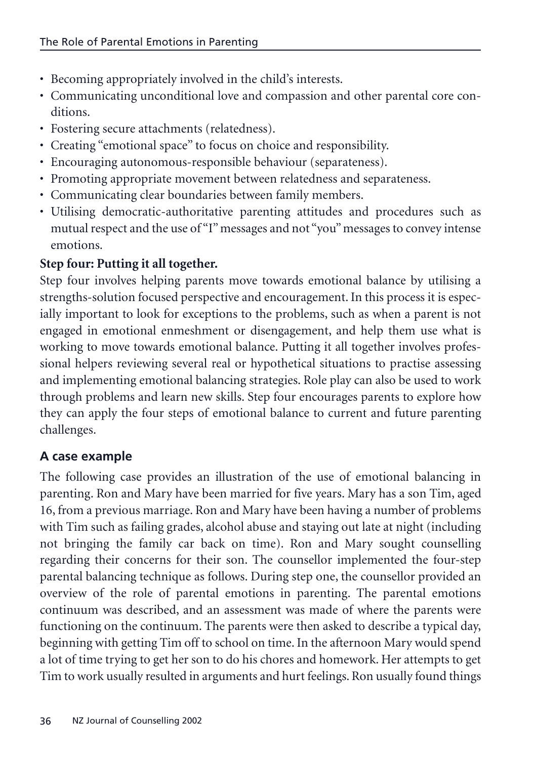- Becoming appropriately involved in the child's interests.
- Communicating unconditional love and compassion and other parental core conditions.
- Fostering secure attachments (relatedness).
- Creating "emotional space" to focus on choice and responsibility.
- Encouraging autonomous-responsible behaviour (separateness).
- Promoting appropriate movement between relatedness and separateness.
- Communicating clear boundaries between family members.
- Utilising democratic-authoritative parenting attitudes and procedures such as mutual respect and the use of "I" messages and not "you" messages to convey intense emotions.

# **Step four: Putting it all together.**

Step four involves helping parents move towards emotional balance by utilising a strengths-solution focused perspective and encouragement. In this process it is especially important to look for exceptions to the problems, such as when a parent is not engaged in emotional enmeshment or disengagement, and help them use what is working to move towards emotional balance. Putting it all together involves professional helpers reviewing several real or hypothetical situations to practise assessing and implementing emotional balancing strategies. Role play can also be used to work through problems and learn new skills. Step four encourages parents to explore how they can apply the four steps of emotional balance to current and future parenting challenges.

# **A case example**

The following case provides an illustration of the use of emotional balancing in parenting. Ron and Mary have been married for five years. Mary has a son Tim, aged 16, from a previous marriage. Ron and Mary have been having a number of problems with Tim such as failing grades, alcohol abuse and staying out late at night (including not bringing the family car back on time). Ron and Mary sought counselling regarding their concerns for their son. The counsellor implemented the four-step parental balancing technique as follows. During step one, the counsellor provided an overview of the role of parental emotions in parenting. The parental emotions continuum was described, and an assessment was made of where the parents were functioning on the continuum. The parents were then asked to describe a typical day, beginning with getting Tim off to school on time. In the afternoon Mary would spend a lot of time trying to get her son to do his chores and homework. Her attempts to get Tim to work usually resulted in arguments and hurt feelings. Ron usually found things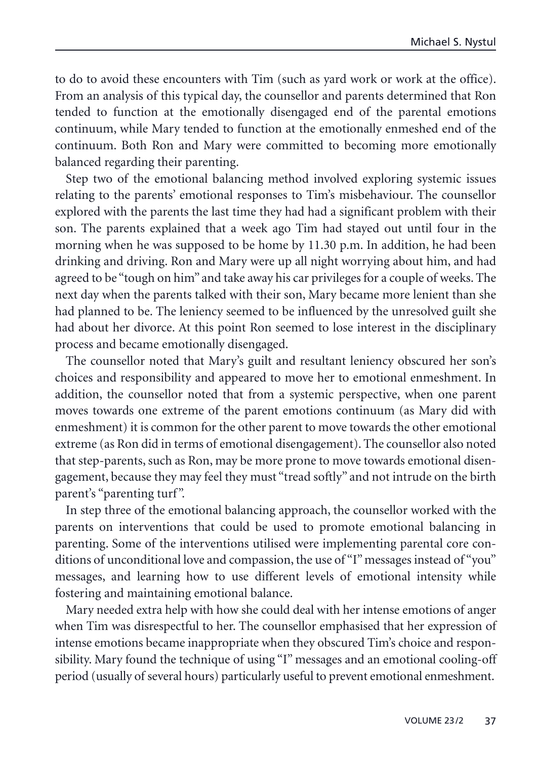to do to avoid these encounters with Tim (such as yard work or work at the office). From an analysis of this typical day, the counsellor and parents determined that Ron tended to function at the emotionally disengaged end of the parental emotions continuum, while Mary tended to function at the emotionally enmeshed end of the continuum. Both Ron and Mary were committed to becoming more emotionally balanced regarding their parenting.

Step two of the emotional balancing method involved exploring systemic issues relating to the parents' emotional responses to Tim's misbehaviour. The counsellor explored with the parents the last time they had had a significant problem with their son. The parents explained that a week ago Tim had stayed out until four in the morning when he was supposed to be home by 11.30 p.m. In addition, he had been drinking and driving. Ron and Mary were up all night worrying about him, and had agreed to be "tough on him" and take away his car privileges for a couple of weeks. The next day when the parents talked with their son, Mary became more lenient than she had planned to be. The leniency seemed to be influenced by the unresolved guilt she had about her divorce. At this point Ron seemed to lose interest in the disciplinary process and became emotionally disengaged.

The counsellor noted that Mary's guilt and resultant leniency obscured her son's choices and responsibility and appeared to move her to emotional enmeshment. In addition, the counsellor noted that from a systemic perspective, when one parent moves towards one extreme of the parent emotions continuum (as Mary did with enmeshment) it is common for the other parent to move towards the other emotional extreme (as Ron did in terms of emotional disengagement). The counsellor also noted that step-parents, such as Ron, may be more prone to move towards emotional disengagement, because they may feel they must "tread softly" and not intrude on the birth parent's "parenting turf".

In step three of the emotional balancing approach, the counsellor worked with the parents on interventions that could be used to promote emotional balancing in parenting. Some of the interventions utilised were implementing parental core conditions of unconditional love and compassion, the use of "I" messages instead of "you" messages, and learning how to use different levels of emotional intensity while fostering and maintaining emotional balance.

Mary needed extra help with how she could deal with her intense emotions of anger when Tim was disrespectful to her. The counsellor emphasised that her expression of intense emotions became inappropriate when they obscured Tim's choice and responsibility. Mary found the technique of using "I" messages and an emotional cooling-off period (usually of several hours) particularly useful to prevent emotional enmeshment.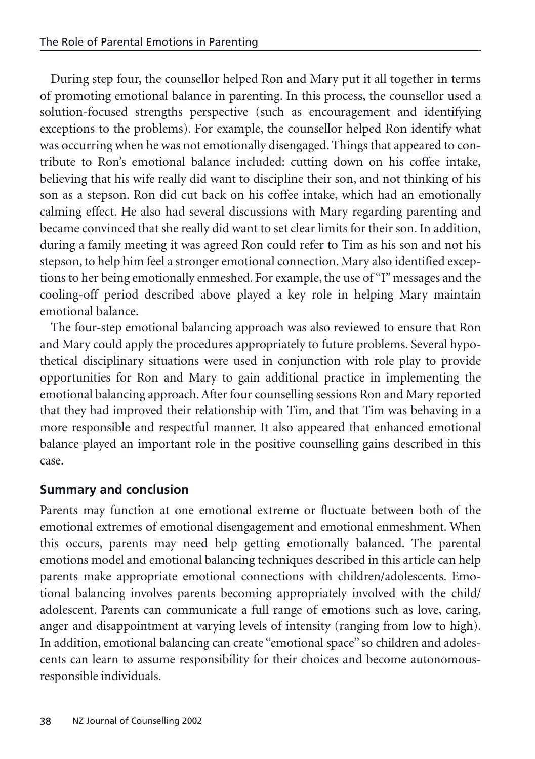During step four, the counsellor helped Ron and Mary put it all together in terms of promoting emotional balance in parenting. In this process, the counsellor used a solution-focused strengths perspective (such as encouragement and identifying exceptions to the problems). For example, the counsellor helped Ron identify what was occurring when he was not emotionally disengaged. Things that appeared to contribute to Ron's emotional balance included: cutting down on his coffee intake, believing that his wife really did want to discipline their son, and not thinking of his son as a stepson. Ron did cut back on his coffee intake, which had an emotionally calming effect. He also had several discussions with Mary regarding parenting and became convinced that she really did want to set clear limits for their son. In addition, during a family meeting it was agreed Ron could refer to Tim as his son and not his stepson, to help him feel a stronger emotional connection. Mary also identified exceptions to her being emotionally enmeshed. For example, the use of "I" messages and the cooling-off period described above played a key role in helping Mary maintain emotional balance.

The four-step emotional balancing approach was also reviewed to ensure that Ron and Mary could apply the procedures appropriately to future problems. Several hypothetical disciplinary situations were used in conjunction with role play to provide opportunities for Ron and Mary to gain additional practice in implementing the emotional balancing approach. After four counselling sessions Ron and Mary reported that they had improved their relationship with Tim, and that Tim was behaving in a more responsible and respectful manner. It also appeared that enhanced emotional balance played an important role in the positive counselling gains described in this case.

## **Summary and conclusion**

Parents may function at one emotional extreme or fluctuate between both of the emotional extremes of emotional disengagement and emotional enmeshment. When this occurs, parents may need help getting emotionally balanced. The parental emotions model and emotional balancing techniques described in this article can help parents make appropriate emotional connections with children/adolescents. Emotional balancing involves parents becoming appropriately involved with the child/ adolescent. Parents can communicate a full range of emotions such as love, caring, anger and disappointment at varying levels of intensity (ranging from low to high). In addition, emotional balancing can create "emotional space" so children and adolescents can learn to assume responsibility for their choices and become autonomousresponsible individuals.